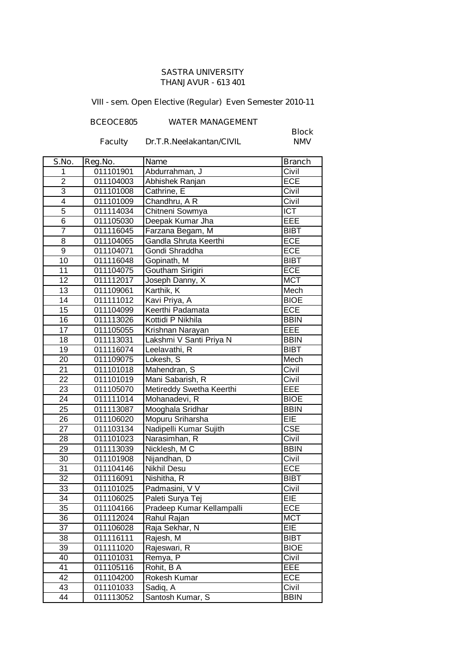## **SASTRA UNIVERSITY THANJAVUR - 613 401**

**VIII - sem. Open Elective (Regular) Even Semester 2010-11**

**BCEOCE805 WATER MANAGEMENT**

**Faculty Dr.T.R.Neelakantan/CIVIL** 

**Block**

| S.No.                   | Reg.No.   | <b>Name</b>               | <b>Branch</b> |
|-------------------------|-----------|---------------------------|---------------|
| 1                       | 011101901 | Abdurrahman, J            | Civil         |
| $\overline{2}$          | 011104003 | Abhishek Ranjan           | <b>ECE</b>    |
| 3                       | 011101008 | Cathrine, E               | Civil         |
| $\overline{\mathbf{4}}$ | 011101009 | Chandhru, A R             | Civil         |
| $\overline{5}$          | 011114034 | Chitneni Sowmya           | <b>ICT</b>    |
| $\overline{6}$          | 011105030 | Deepak Kumar Jha          | EEE           |
| $\overline{7}$          | 011116045 | Farzana Begam, M          | <b>BIBT</b>   |
| $\overline{8}$          | 011104065 | Gandla Shruta Keerthi     | ECE           |
| $\overline{9}$          | 011104071 | Gondi Shraddha            | ECE           |
| $\overline{10}$         | 011116048 | Gopinath, M               | <b>BIBT</b>   |
| 11                      | 011104075 | Goutham Sirigiri          | ECE           |
| 12                      | 011112017 | Joseph Danny, X           | <b>MCT</b>    |
| 13                      | 011109061 | Karthik, K                | Mech          |
| 14                      | 011111012 | Kavi Priya, A             | <b>BIOE</b>   |
| 15                      | 011104099 | Keerthi Padamata          | ECE           |
| 16                      | 011113026 | Kottidi P Nikhila         | <b>BBIN</b>   |
| 17                      | 011105055 | Krishnan Narayan          | EEE           |
| $\overline{18}$         | 011113031 | Lakshmi V Santi Priya N   | <b>BBIN</b>   |
| 19                      | 011116074 | Leelavathi, R             | <b>BIBT</b>   |
| 20                      | 011109075 | Lokesh, S                 | Mech          |
| $\overline{21}$         | 011101018 | Mahendran, S              | Civil         |
| $\overline{22}$         | 011101019 | Mani Sabarish, R          | Civil         |
| 23                      | 011105070 | Metireddy Swetha Keerthi  | EEE           |
| 24                      | 011111014 | Mohanadevi, R             | <b>BIOE</b>   |
| 25                      | 011113087 | Mooghala Sridhar          | <b>BBIN</b>   |
| 26                      | 011106020 | Mopuru Sriharsha          | EIE           |
| 27                      | 011103134 | Nadipelli Kumar Sujith    | CSE           |
| 28                      | 011101023 | Narasimhan, R             | Civil         |
| 29                      | 011113039 | Nicklesh, M C             | <b>BBIN</b>   |
| $\overline{30}$         | 011101908 | Nijandhan, D              | Civil         |
| $\overline{31}$         | 011104146 | Nikhil Desu               | ECE           |
| $\overline{32}$         | 011116091 | Nishitha, R               | <b>BIBT</b>   |
| 33                      | 011101025 | Padmasini, V V            | Civil         |
| $\overline{34}$         | 011106025 | Paleti Surya Tej          | EIE           |
| $\overline{3}5$         | 011104166 | Pradeep Kumar Kellampalli | ECE           |
| 36                      | 011112024 | Rahul Rajan               | <b>MCT</b>    |
| 37                      | 011106028 | Raja Sekhar, N            | EIE           |
| 38                      | 011116111 | Rajesh, M                 | <b>BIBT</b>   |
| 39                      | 011111020 | Rajeswari, R              | <b>BIOE</b>   |
| 40                      | 011101031 | Remya, P                  | Civil         |
| 41                      | 011105116 | Rohit, B A                | EEE           |
| 42                      | 011104200 | Rokesh Kumar              | <b>ECE</b>    |
| 43                      | 011101033 | Sadiq, A                  | Civil         |
| 44                      | 011113052 | Santosh Kumar, S          | <b>BBIN</b>   |